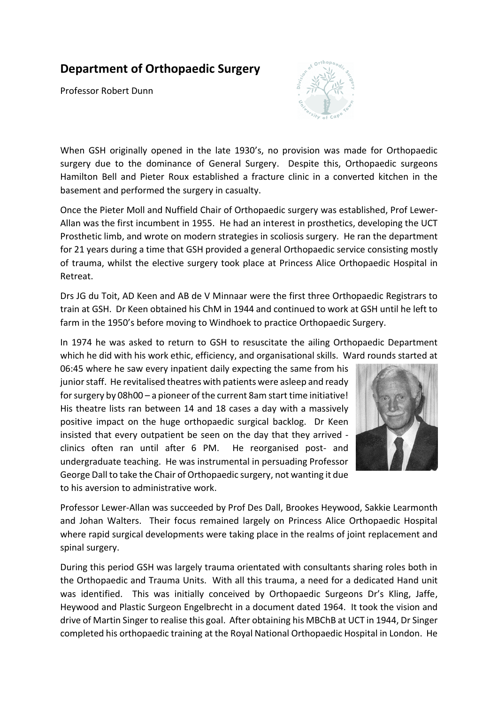## **Department of Orthopaedic Surgery**

Professor Robert Dunn



When GSH originally opened in the late 1930's, no provision was made for Orthopaedic surgery due to the dominance of General Surgery. Despite this, Orthopaedic surgeons Hamilton Bell and Pieter Roux established a fracture clinic in a converted kitchen in the basement and performed the surgery in casualty.

Once the Pieter Moll and Nuffield Chair of Orthopaedic surgery was established, Prof Lewer-Allan was the first incumbent in 1955. He had an interest in prosthetics, developing the UCT Prosthetic limb, and wrote on modern strategies in scoliosis surgery. He ran the department for 21 years during a time that GSH provided a general Orthopaedic service consisting mostly of trauma, whilst the elective surgery took place at Princess Alice Orthopaedic Hospital in Retreat.

Drs JG du Toit, AD Keen and AB de V Minnaar were the first three Orthopaedic Registrars to train at GSH. Dr Keen obtained his ChM in 1944 and continued to work at GSH until he left to farm in the 1950's before moving to Windhoek to practice Orthopaedic Surgery.

In 1974 he was asked to return to GSH to resuscitate the ailing Orthopaedic Department which he did with his work ethic, efficiency, and organisational skills. Ward rounds started at

06:45 where he saw every inpatient daily expecting the same from his junior staff. He revitalised theatres with patients were asleep and ready for surgery by 08h00 – a pioneer of the current 8am start time initiative! His theatre lists ran between 14 and 18 cases a day with a massively positive impact on the huge orthopaedic surgical backlog. Dr Keen insisted that every outpatient be seen on the day that they arrived clinics often ran until after 6 PM. He reorganised post- and undergraduate teaching. He was instrumental in persuading Professor George Dall to take the Chair of Orthopaedic surgery, not wanting it due to his aversion to administrative work.



Professor Lewer-Allan was succeeded by Prof Des Dall, Brookes Heywood, Sakkie Learmonth and Johan Walters. Their focus remained largely on Princess Alice Orthopaedic Hospital where rapid surgical developments were taking place in the realms of joint replacement and spinal surgery.

During this period GSH was largely trauma orientated with consultants sharing roles both in the Orthopaedic and Trauma Units. With all this trauma, a need for a dedicated Hand unit was identified. This was initially conceived by Orthopaedic Surgeons Dr's Kling, Jaffe, Heywood and Plastic Surgeon Engelbrecht in a document dated 1964. It took the vision and drive of Martin Singer to realise this goal. After obtaining his MBChB at UCT in 1944, Dr Singer completed his orthopaedic training at the Royal National Orthopaedic Hospital in London. He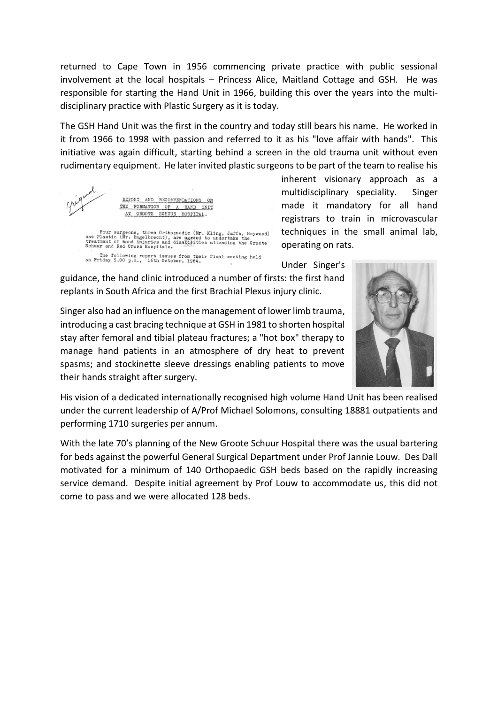returned to Cape Town in 1956 commencing private practice with public sessional involvement at the local hospitals – Princess Alice, Maitland Cottage and GSH. He was responsible for starting the Hand Unit in 1966, building this over the years into the multidisciplinary practice with Plastic Surgery as it is today.

The GSH Hand Unit was the first in the country and today still bears his name. He worked in it from 1966 to 1998 with passion and referred to it as his "love affair with hands". This initiative was again difficult, starting behind a screen in the old trauma unit without even rudimentary equipment. He later invited plastic surgeons to be part of the team to realise his



inherent visionary approach as a multidisciplinary speciality. Singer made it mandatory for all hand registrars to train in microvascular techniques in the small animal lab, operating on rats.

Under Singer's

guidance, the hand clinic introduced a number of firsts: the first hand replants in South Africa and the first Brachial Plexus injury clinic.

Singer also had an influence on the management of lower limb trauma, introducing a cast bracing technique at GSH in 1981 to shorten hospital stay after femoral and tibial plateau fractures; a "hot box" therapy to manage hand patients in an atmosphere of dry heat to prevent spasms; and stockinette sleeve dressings enabling patients to move their hands straight after surgery.



His vision of a dedicated internationally recognised high volume Hand Unit has been realised under the current leadership of A/Prof Michael Solomons, consulting 18881 outpatients and performing 1710 surgeries per annum.

With the late 70's planning of the New Groote Schuur Hospital there was the usual bartering for beds against the powerful General Surgical Department under Prof Jannie Louw. Des Dall motivated for a minimum of 140 Orthopaedic GSH beds based on the rapidly increasing service demand. Despite initial agreement by Prof Louw to accommodate us, this did not come to pass and we were allocated 128 beds.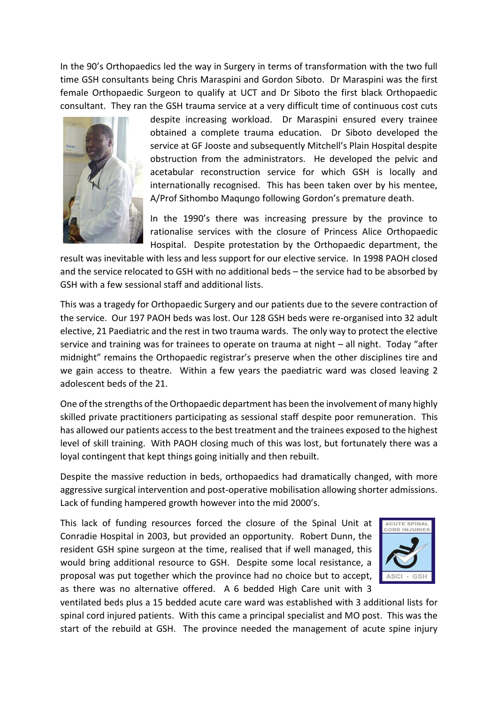In the 90's Orthopaedics led the way in Surgery in terms of transformation with the two full time GSH consultants being Chris Maraspini and Gordon Siboto. Dr Maraspini was the first female Orthopaedic Surgeon to qualify at UCT and Dr Siboto the first black Orthopaedic consultant. They ran the GSH trauma service at a very difficult time of continuous cost cuts



despite increasing workload. Dr Maraspini ensured every trainee obtained a complete trauma education. Dr Siboto developed the service at GF Jooste and subsequently Mitchell's Plain Hospital despite obstruction from the administrators. He developed the pelvic and acetabular reconstruction service for which GSH is locally and internationally recognised. This has been taken over by his mentee, A/Prof Sithombo Maqungo following Gordon's premature death.

In the 1990's there was increasing pressure by the province to rationalise services with the closure of Princess Alice Orthopaedic Hospital. Despite protestation by the Orthopaedic department, the

result was inevitable with less and less support for our elective service. In 1998 PAOH closed and the service relocated to GSH with no additional beds – the service had to be absorbed by GSH with a few sessional staff and additional lists.

This was a tragedy for Orthopaedic Surgery and our patients due to the severe contraction of the service. Our 197 PAOH beds was lost. Our 128 GSH beds were re-organised into 32 adult elective, 21 Paediatric and the rest in two trauma wards. The only way to protect the elective service and training was for trainees to operate on trauma at night – all night. Today "after midnight" remains the Orthopaedic registrar's preserve when the other disciplines tire and we gain access to theatre. Within a few years the paediatric ward was closed leaving 2 adolescent beds of the 21.

One of the strengths of the Orthopaedic department has been the involvement of many highly skilled private practitioners participating as sessional staff despite poor remuneration. This has allowed our patients access to the best treatment and the trainees exposed to the highest level of skill training. With PAOH closing much of this was lost, but fortunately there was a loyal contingent that kept things going initially and then rebuilt.

Despite the massive reduction in beds, orthopaedics had dramatically changed, with more aggressive surgical intervention and post-operative mobilisation allowing shorter admissions. Lack of funding hampered growth however into the mid 2000's.

This lack of funding resources forced the closure of the Spinal Unit at Conradie Hospital in 2003, but provided an opportunity. Robert Dunn, the resident GSH spine surgeon at the time, realised that if well managed, this would bring additional resource to GSH. Despite some local resistance, a proposal was put together which the province had no choice but to accept, as there was no alternative offered. A 6 bedded High Care unit with 3



ventilated beds plus a 15 bedded acute care ward was established with 3 additional lists for spinal cord injured patients. With this came a principal specialist and MO post. This was the start of the rebuild at GSH. The province needed the management of acute spine injury